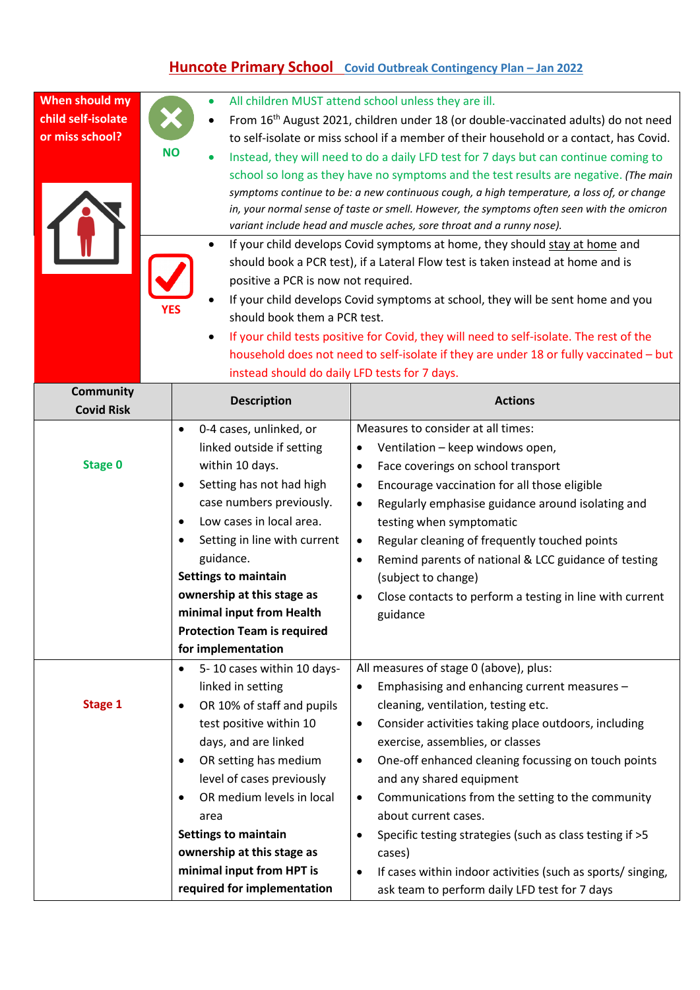## **Huncote Primary School Covid Outbreak Contingency Plan – Jan 2022**

| When should my<br>child self-isolate<br>or miss school? | <b>NO</b><br>positive a PCR is now not required.<br>should book them a PCR test.<br>instead should do daily LFD tests for 7 days.                                                                                                                                                                                                                                                     | All children MUST attend school unless they are ill.<br>From 16 <sup>th</sup> August 2021, children under 18 (or double-vaccinated adults) do not need<br>to self-isolate or miss school if a member of their household or a contact, has Covid.<br>Instead, they will need to do a daily LFD test for 7 days but can continue coming to<br>school so long as they have no symptoms and the test results are negative. (The main<br>symptoms continue to be: a new continuous cough, a high temperature, a loss of, or change<br>in, your normal sense of taste or smell. However, the symptoms often seen with the omicron<br>variant include head and muscle aches, sore throat and a runny nose).<br>If your child develops Covid symptoms at home, they should stay at home and<br>should book a PCR test), if a Lateral Flow test is taken instead at home and is<br>If your child develops Covid symptoms at school, they will be sent home and you<br>If your child tests positive for Covid, they will need to self-isolate. The rest of the<br>household does not need to self-isolate if they are under 18 or fully vaccinated - but |
|---------------------------------------------------------|---------------------------------------------------------------------------------------------------------------------------------------------------------------------------------------------------------------------------------------------------------------------------------------------------------------------------------------------------------------------------------------|------------------------------------------------------------------------------------------------------------------------------------------------------------------------------------------------------------------------------------------------------------------------------------------------------------------------------------------------------------------------------------------------------------------------------------------------------------------------------------------------------------------------------------------------------------------------------------------------------------------------------------------------------------------------------------------------------------------------------------------------------------------------------------------------------------------------------------------------------------------------------------------------------------------------------------------------------------------------------------------------------------------------------------------------------------------------------------------------------------------------------------------------|
| Community<br><b>Covid Risk</b>                          | <b>Description</b>                                                                                                                                                                                                                                                                                                                                                                    | <b>Actions</b>                                                                                                                                                                                                                                                                                                                                                                                                                                                                                                                                                                                                                                                                                                                                                                                                                                                                                                                                                                                                                                                                                                                                 |
| <b>Stage 0</b>                                          | 0-4 cases, unlinked, or<br>$\bullet$<br>linked outside if setting<br>within 10 days.<br>Setting has not had high<br>٠<br>case numbers previously.<br>Low cases in local area.<br>٠<br>Setting in line with current<br>guidance.<br><b>Settings to maintain</b><br>ownership at this stage as<br>minimal input from Health<br><b>Protection Team is required</b><br>for implementation | Measures to consider at all times:<br>Ventilation - keep windows open,<br>$\bullet$<br>Face coverings on school transport<br>$\bullet$<br>Encourage vaccination for all those eligible<br>$\bullet$<br>Regularly emphasise guidance around isolating and<br>$\bullet$<br>testing when symptomatic<br>Regular cleaning of frequently touched points<br>$\bullet$<br>Remind parents of national & LCC guidance of testing<br>$\bullet$<br>(subject to change)<br>Close contacts to perform a testing in line with current<br>$\bullet$<br>guidance                                                                                                                                                                                                                                                                                                                                                                                                                                                                                                                                                                                               |
| <b>Stage 1</b>                                          | 5-10 cases within 10 days-<br>٠<br>linked in setting<br>OR 10% of staff and pupils<br>٠<br>test positive within 10<br>days, and are linked<br>OR setting has medium<br>٠<br>level of cases previously<br>OR medium levels in local<br>area<br><b>Settings to maintain</b><br>ownership at this stage as<br>minimal input from HPT is<br>required for implementation                   | All measures of stage 0 (above), plus:<br>Emphasising and enhancing current measures -<br>$\bullet$<br>cleaning, ventilation, testing etc.<br>Consider activities taking place outdoors, including<br>$\bullet$<br>exercise, assemblies, or classes<br>One-off enhanced cleaning focussing on touch points<br>$\bullet$<br>and any shared equipment<br>Communications from the setting to the community<br>$\bullet$<br>about current cases.<br>Specific testing strategies (such as class testing if >5<br>$\bullet$<br>cases)<br>If cases within indoor activities (such as sports/ singing,<br>$\bullet$<br>ask team to perform daily LFD test for 7 days                                                                                                                                                                                                                                                                                                                                                                                                                                                                                   |